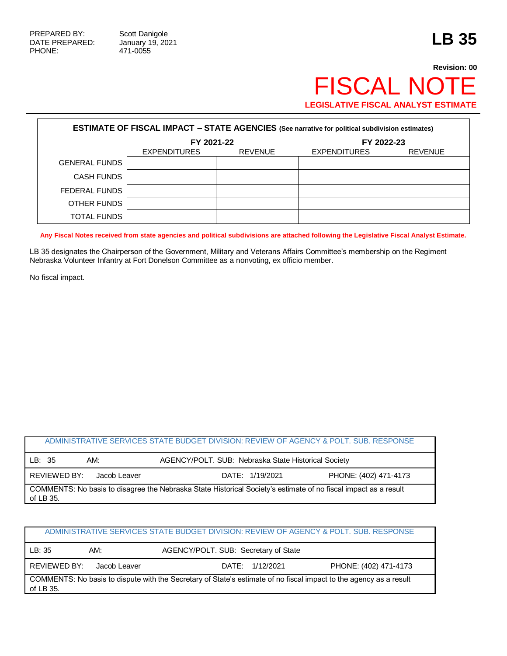## **Revision: 00** FISCAL NOTE **LEGISLATIVE FISCAL ANALYST ESTIMATE**

| <b>ESTIMATE OF FISCAL IMPACT - STATE AGENCIES (See narrative for political subdivision estimates)</b> |                     |                |                     |                |  |  |
|-------------------------------------------------------------------------------------------------------|---------------------|----------------|---------------------|----------------|--|--|
|                                                                                                       | FY 2021-22          |                | FY 2022-23          |                |  |  |
|                                                                                                       | <b>EXPENDITURES</b> | <b>REVENUE</b> | <b>EXPENDITURES</b> | <b>REVENUE</b> |  |  |
| <b>GENERAL FUNDS</b>                                                                                  |                     |                |                     |                |  |  |
| <b>CASH FUNDS</b>                                                                                     |                     |                |                     |                |  |  |
| FEDERAL FUNDS                                                                                         |                     |                |                     |                |  |  |
| OTHER FUNDS                                                                                           |                     |                |                     |                |  |  |
| <b>TOTAL FUNDS</b>                                                                                    |                     |                |                     |                |  |  |

**Any Fiscal Notes received from state agencies and political subdivisions are attached following the Legislative Fiscal Analyst Estimate.**

LB 35 designates the Chairperson of the Government, Military and Veterans Affairs Committee's membership on the Regiment Nebraska Volunteer Infantry at Fort Donelson Committee as a nonvoting, ex officio member.

No fiscal impact.

## ADMINISTRATIVE SERVICES STATE BUDGET DIVISION: REVIEW OF AGENCY & POLT. SUB. RESPONSE LB: 35 AM: AGENCY/POLT. SUB: Nebraska State Historical Society REVIEWED BY: Jacob Leaver **DATE: 1/19/2021** PHONE: (402) 471-4173 COMMENTS: No basis to disagree the Nebraska State Historical Society's estimate of no fiscal impact as a result of LB 35.

| ADMINISTRATIVE SERVICES STATE BUDGET DIVISION: REVIEW OF AGENCY & POLT. SUB. RESPONSE |              |                                                                                                                    |                       |  |  |
|---------------------------------------------------------------------------------------|--------------|--------------------------------------------------------------------------------------------------------------------|-----------------------|--|--|
| LB:35                                                                                 | AM:          | AGENCY/POLT. SUB: Secretary of State                                                                               |                       |  |  |
| <b>REVIEWED BY:</b>                                                                   | Jacob Leaver | DATE: 1/12/2021                                                                                                    | PHONE: (402) 471-4173 |  |  |
| of LB 35.                                                                             |              | COMMENTS: No basis to dispute with the Secretary of State's estimate of no fiscal impact to the agency as a result |                       |  |  |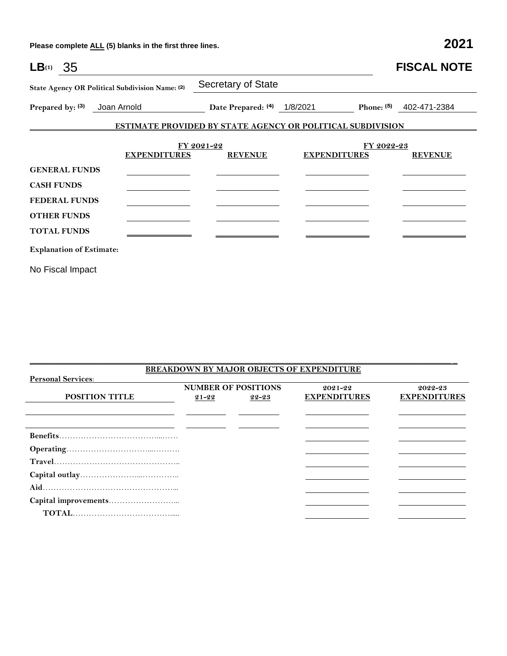**Please complete ALL (5) blanks in the first three lines. 2021**

| $LB^{(1)}$ 35                   |                                                 |                                                                   |                     |              | <b>FISCAL NOTE</b> |
|---------------------------------|-------------------------------------------------|-------------------------------------------------------------------|---------------------|--------------|--------------------|
|                                 | State Agency OR Political Subdivision Name: (2) | Secretary of State                                                |                     |              |                    |
| Prepared by: (3)                | Joan Arnold                                     | Date Prepared: (4)                                                | 1/8/2021            | Phone: $(5)$ | 402-471-2384       |
|                                 |                                                 | <b>ESTIMATE PROVIDED BY STATE AGENCY OR POLITICAL SUBDIVISION</b> |                     |              |                    |
|                                 | <b>EXPENDITURES</b>                             | FY 2021-22<br><b>REVENUE</b>                                      | <b>EXPENDITURES</b> | FY 2022-23   | <b>REVENUE</b>     |
| <b>GENERAL FUNDS</b>            |                                                 |                                                                   |                     |              |                    |
| <b>CASH FUNDS</b>               |                                                 |                                                                   |                     |              |                    |
| <b>FEDERAL FUNDS</b>            |                                                 |                                                                   |                     |              |                    |
| <b>OTHER FUNDS</b>              |                                                 |                                                                   |                     |              |                    |
| <b>TOTAL FUNDS</b>              |                                                 |                                                                   |                     |              |                    |
| <b>Explanation of Estimate:</b> |                                                 |                                                                   |                     |              |                    |
| No Fiscal Impact                |                                                 |                                                                   |                     |              |                    |

| <b>BREAKDOWN BY MAJOR OBJECTS OF EXPENDITURE</b> |                            |           |                     |                     |  |  |  |
|--------------------------------------------------|----------------------------|-----------|---------------------|---------------------|--|--|--|
| <b>Personal Services:</b>                        |                            |           |                     |                     |  |  |  |
|                                                  | <b>NUMBER OF POSITIONS</b> |           | $2021 - 22$         | 2022-23             |  |  |  |
| <b>POSITION TITLE</b>                            | $21 - 22$                  | $22 - 23$ | <b>EXPENDITURES</b> | <b>EXPENDITURES</b> |  |  |  |
|                                                  |                            |           |                     |                     |  |  |  |
|                                                  |                            |           |                     |                     |  |  |  |
|                                                  |                            |           |                     |                     |  |  |  |
|                                                  |                            |           |                     |                     |  |  |  |
|                                                  |                            |           |                     |                     |  |  |  |
|                                                  |                            |           |                     |                     |  |  |  |
|                                                  |                            |           |                     |                     |  |  |  |
|                                                  |                            |           |                     |                     |  |  |  |
|                                                  |                            |           |                     |                     |  |  |  |
|                                                  |                            |           |                     |                     |  |  |  |

\_\_\_\_\_\_\_\_\_\_\_\_\_\_\_\_\_\_\_\_\_\_\_\_\_\_\_\_\_\_\_\_\_\_\_\_\_\_\_\_\_\_\_\_\_\_\_\_\_\_\_\_\_\_\_\_\_\_\_\_\_\_\_\_\_\_\_\_\_\_\_\_\_\_\_\_\_\_\_\_\_\_\_\_\_\_\_\_\_\_\_\_\_\_\_\_\_\_\_\_\_ \_